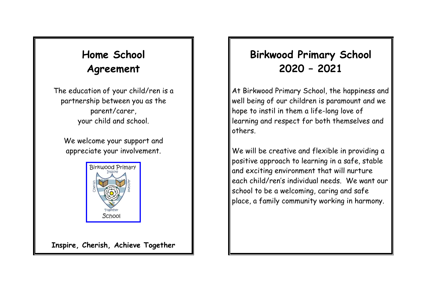## **Home School Agreement**

The education of your child/ren is a partnership between you as the parent/carer, your child and school.

We welcome your support and appreciate your involvement.



**Inspire, Cherish, Achieve Together**

### **Birkwood Primary School 2020 – 2021**

At Birkwood Primary School, the happiness and well being of our children is paramount and we hope to instil in them a life-long love of learning and respect for both themselves and others.

We will be creative and flexible in providing a positive approach to learning in a safe, stable and exciting environment that will nurture each child/ren's individual needs. We want our school to be a welcoming, caring and safe place, a family community working in harmony.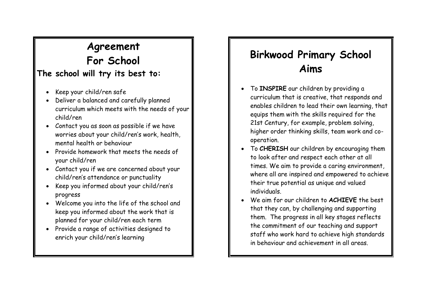# **Agreement For School**

#### **The school will try its best to:**

- Keep your child/ren safe
- Deliver a balanced and carefully planned curriculum which meets with the needs of your child/ren
- Contact you as soon as possible if we have worries about your child/ren's work, health, mental health or behaviour
- Provide homework that meets the needs of your child/ren
- Contact you if we are concerned about your child/ren's attendance or punctuality
- Keep you informed about your child/ren's progress
- Welcome you into the life of the school and keep you informed about the work that is planned for your child/ren each term
- Provide a range of activities designed to enrich your child/ren's learning

## **Birkwood Primary School Aims**

- To **INSPIRE** our children by providing a curriculum that is creative, that responds and enables children to lead their own learning, that equips them with the skills required for the 21st Century, for example, problem solving, higher order thinking skills, team work and cooperation.
- To **CHERISH** our children by encouraging them to look after and respect each other at all times. We aim to provide a caring environment, where all are inspired and empowered to achieve their true potential as unique and valued individuals.
- We aim for our children to **ACHIEVE** the best that they can, by challenging and supporting them. The progress in all key stages reflects the commitment of our teaching and support staff who work hard to achieve high standards in behaviour and achievement in all areas.